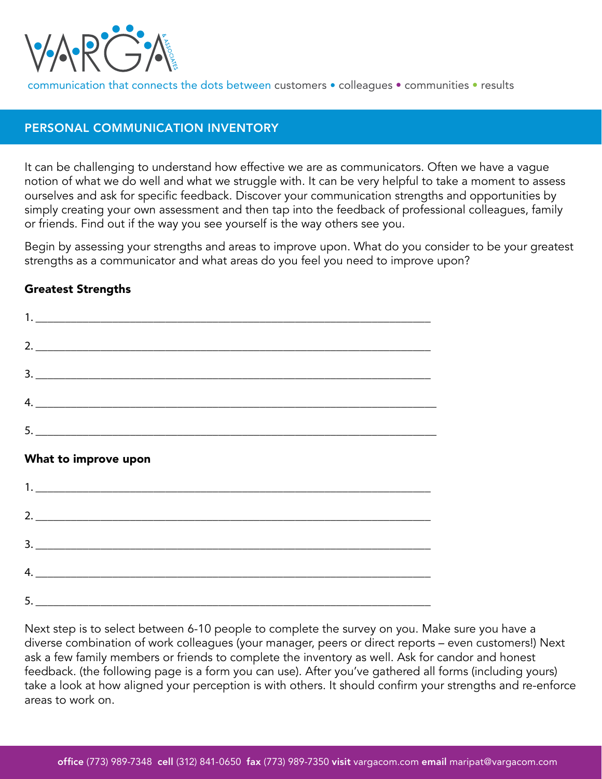

communication that connects the dots between customers • colleagues • communities • results

# PERSONAL COMMUNICATION INVENTORY

It can be challenging to understand how effective we are as communicators. Often we have a vague notion of what we do well and what we struggle with. It can be very helpful to take a moment to assess ourselves and ask for specific feedback. Discover your communication strengths and opportunities by simply creating your own assessment and then tap into the feedback of professional colleagues, family or friends. Find out if the way you see yourself is the way others see you.

Begin by assessing your strengths and areas to improve upon. What do you consider to be your greatest strengths as a communicator and what areas do you feel you need to improve upon?

# Greatest Strengths



### What to improve upon



Next step is to select between 6-10 people to complete the survey on you. Make sure you have a diverse combination of work colleagues (your manager, peers or direct reports – even customers!) Next ask a few family members or friends to complete the inventory as well. Ask for candor and honest feedback. (the following page is a form you can use). After you've gathered all forms (including yours) take a look at how aligned your perception is with others. It should confirm your strengths and re-enforce areas to work on.